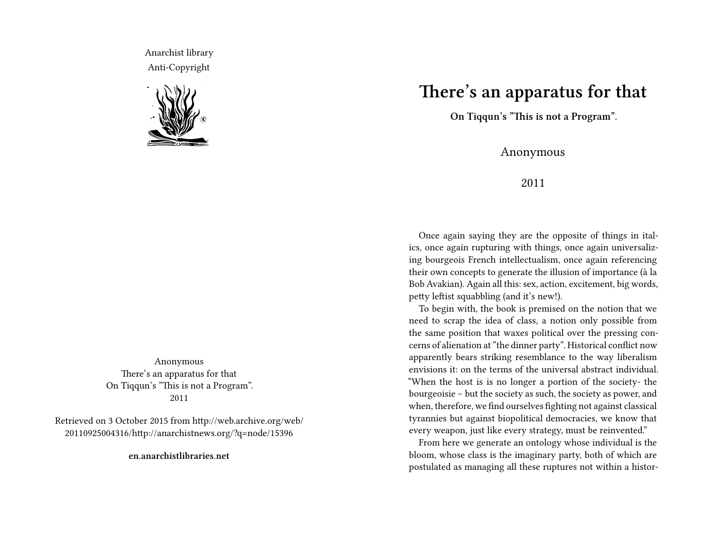Anarchist library Anti-Copyright



Anonymous There's an apparatus for that On Tiqqun's "This is not a Program". 2011

Retrieved on 3 October 2015 from http://web.archive.org/web/ 20110925004316/http://anarchistnews.org/?q=node/15396

**en.anarchistlibraries.net**

## **There's an apparatus for that**

**On Tiqqun's "This is not a Program".**

## Anonymous

## 2011

Once again saying they are the opposite of things in italics, once again rupturing with things, once again universalizing bourgeois French intellectualism, once again referencing their own concepts to generate the illusion of importance (à la Bob Avakian). Again all this: sex, action, excitement, big words, petty leftist squabbling (and it's new!).

To begin with, the book is premised on the notion that we need to scrap the idea of class, a notion only possible from the same position that waxes political over the pressing concerns of alienation at "the dinner party". Historical conflict now apparently bears striking resemblance to the way liberalism envisions it: on the terms of the universal abstract individual. "When the host is is no longer a portion of the society- the bourgeoisie – but the society as such, the society as power, and when, therefore, we find ourselves fighting not against classical tyrannies but against biopolitical democracies, we know that every weapon, just like every strategy, must be reinvented."

From here we generate an ontology whose individual is the bloom, whose class is the imaginary party, both of which are postulated as managing all these ruptures not within a histor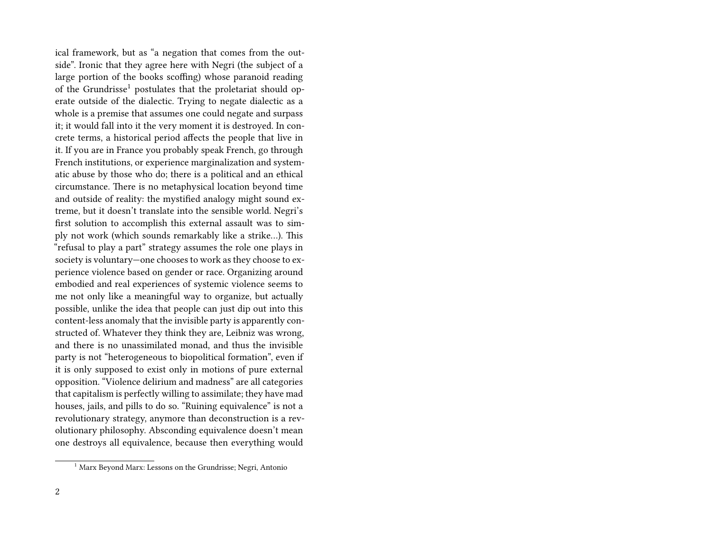ical framework, but as "a negation that comes from the outside". Ironic that they agree here with Negri (the subject of a large portion of the books scoffing) whose paranoid reading of the Grundrisse<sup>1</sup> postulates that the proletariat should operate outside of the dialectic. Trying to negate dialectic as a whole is a premise that assumes one could negate and surpass it; it would fall into it the very moment it is destroyed. In concrete terms, a historical period affects the people that live in it. If you are in France you probably speak French, go through French institutions, or experience marginalization and systematic abuse by those who do; there is a political and an ethical circumstance. There is no metaphysical location beyond time and outside of reality: the mystified analogy might sound extreme, but it doesn't translate into the sensible world. Negri's first solution to accomplish this external assault was to simply not work (which sounds remarkably like a strike…). This "refusal to play a part" strategy assumes the role one plays in society is voluntary—one chooses to work as they choose to experience violence based on gender or race. Organizing around embodied and real experiences of systemic violence seems to me not only like a meaningful way to organize, but actually possible, unlike the idea that people can just dip out into this content-less anomaly that the invisible party is apparently constructed of. Whatever they think they are, Leibniz was wrong, and there is no unassimilated monad, and thus the invisible party is not "heterogeneous to biopolitical formation", even if it is only supposed to exist only in motions of pure external opposition. "Violence delirium and madness" are all categories that capitalism is perfectly willing to assimilate; they have mad houses, jails, and pills to do so. "Ruining equivalence" is not a revolutionary strategy, anymore than deconstruction is a revolutionary philosophy. Absconding equivalence doesn't mean one destroys all equivalence, because then everything would

<sup>1</sup> Marx Beyond Marx: Lessons on the Grundrisse; Negri, Antonio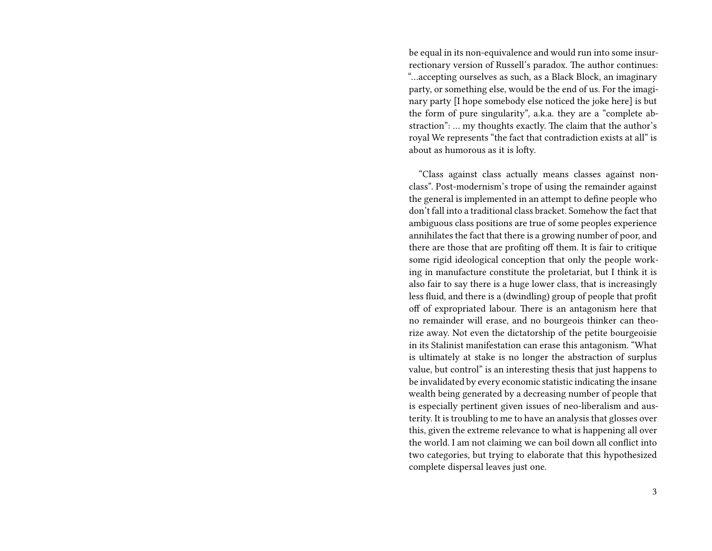be equal in its non-equivalence and would run into some insurrectionary version of Russell's paradox. The author continues: "…accepting ourselves as such, as a Black Block, an imaginary party, or something else, would be the end of us. For the imaginary party [I hope somebody else noticed the joke here] is but the form of pure singularity", a.k.a. they are a "complete abstraction": … my thoughts exactly. The claim that the author's royal We represents "the fact that contradiction exists at all" is about as humorous as it is lofty.

"Class against class actually means classes against nonclass". Post-modernism's trope of using the remainder against the general is implemented in an attempt to define people who don't fall into a traditional class bracket. Somehow the fact that ambiguous class positions are true of some peoples experience annihilates the fact that there is a growing number of poor, and there are those that are profiting off them. It is fair to critique some rigid ideological conception that only the people working in manufacture constitute the proletariat, but I think it is also fair to say there is a huge lower class, that is increasingly less fluid, and there is a (dwindling) group of people that profit off of expropriated labour. There is an antagonism here that no remainder will erase, and no bourgeois thinker can theorize away. Not even the dictatorship of the petite bourgeoisie in its Stalinist manifestation can erase this antagonism. "What is ultimately at stake is no longer the abstraction of surplus value, but control" is an interesting thesis that just happens to be invalidated by every economic statistic indicating the insane wealth being generated by a decreasing number of people that is especially pertinent given issues of neo-liberalism and austerity. It is troubling to me to have an analysis that glosses over this, given the extreme relevance to what is happening all over the world. I am not claiming we can boil down all conflict into two categories, but trying to elaborate that this hypothesized complete dispersal leaves just one.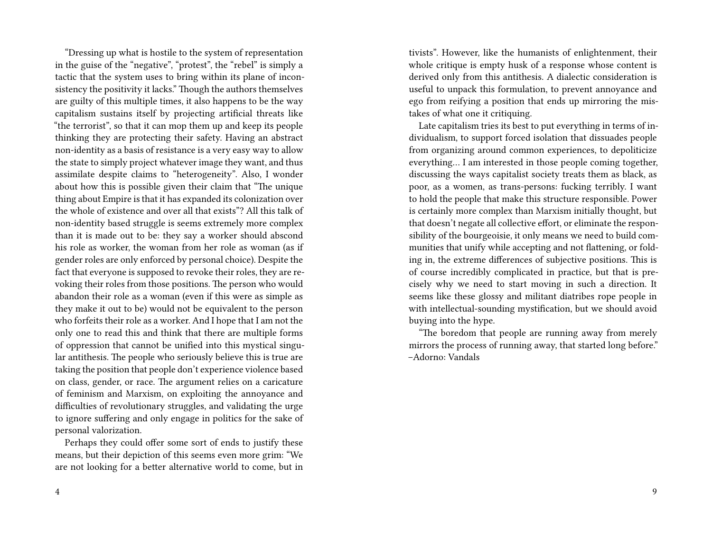"Dressing up what is hostile to the system of representation in the guise of the "negative", "protest", the "rebel" is simply a tactic that the system uses to bring within its plane of inconsistency the positivity it lacks." Though the authors themselves are guilty of this multiple times, it also happens to be the way capitalism sustains itself by projecting artificial threats like "the terrorist", so that it can mop them up and keep its people thinking they are protecting their safety. Having an abstract non-identity as a basis of resistance is a very easy way to allow the state to simply project whatever image they want, and thus assimilate despite claims to "heterogeneity". Also, I wonder about how this is possible given their claim that "The unique thing about Empire is that it has expanded its colonization over the whole of existence and over all that exists"? All this talk of non-identity based struggle is seems extremely more complex than it is made out to be: they say a worker should abscond his role as worker, the woman from her role as woman (as if gender roles are only enforced by personal choice). Despite the fact that everyone is supposed to revoke their roles, they are revoking their roles from those positions. The person who would abandon their role as a woman (even if this were as simple as they make it out to be) would not be equivalent to the person who forfeits their role as a worker. And I hope that I am not the only one to read this and think that there are multiple forms of oppression that cannot be unified into this mystical singular antithesis. The people who seriously believe this is true are taking the position that people don't experience violence based on class, gender, or race. The argument relies on a caricature of feminism and Marxism, on exploiting the annoyance and difficulties of revolutionary struggles, and validating the urge to ignore suffering and only engage in politics for the sake of personal valorization.

Perhaps they could offer some sort of ends to justify these means, but their depiction of this seems even more grim: "We are not looking for a better alternative world to come, but in tivists". However, like the humanists of enlightenment, their whole critique is empty husk of a response whose content is derived only from this antithesis. A dialectic consideration is useful to unpack this formulation, to prevent annoyance and ego from reifying a position that ends up mirroring the mistakes of what one it critiquing.

Late capitalism tries its best to put everything in terms of individualism, to support forced isolation that dissuades people from organizing around common experiences, to depoliticize everything… I am interested in those people coming together, discussing the ways capitalist society treats them as black, as poor, as a women, as trans-persons: fucking terribly. I want to hold the people that make this structure responsible. Power is certainly more complex than Marxism initially thought, but that doesn't negate all collective effort, or eliminate the responsibility of the bourgeoisie, it only means we need to build communities that unify while accepting and not flattening, or folding in, the extreme differences of subjective positions. This is of course incredibly complicated in practice, but that is precisely why we need to start moving in such a direction. It seems like these glossy and militant diatribes rope people in with intellectual-sounding mystification, but we should avoid buying into the hype.

"The boredom that people are running away from merely mirrors the process of running away, that started long before." –Adorno: Vandals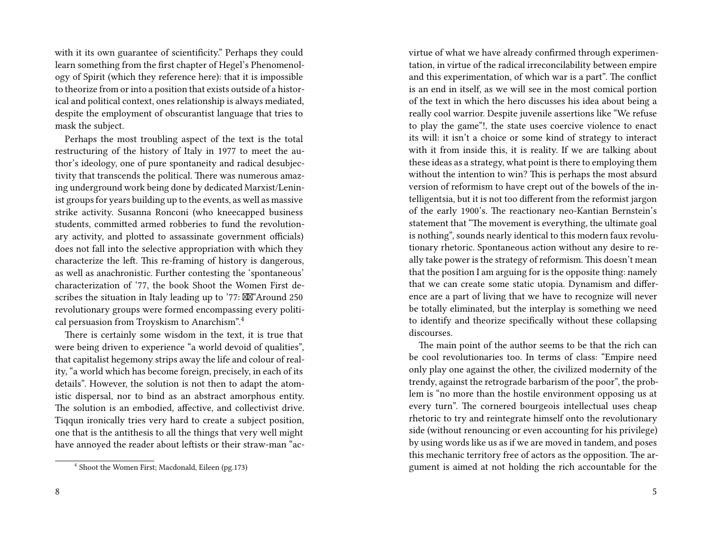with it its own guarantee of scientificity." Perhaps they could learn something from the first chapter of Hegel's Phenomenology of Spirit (which they reference here): that it is impossible to theorize from or into a position that exists outside of a historical and political context, ones relationship is always mediated, despite the employment of obscurantist language that tries to mask the subject.

Perhaps the most troubling aspect of the text is the total restructuring of the history of Italy in 1977 to meet the author's ideology, one of pure spontaneity and radical desubjectivity that transcends the political. There was numerous amazing underground work being done by dedicated Marxist/Leninist groups for years building up to the events, as well as massive strike activity. Susanna Ronconi (who kneecapped business students, committed armed robberies to fund the revolutionary activity, and plotted to assassinate government officials) does not fall into the selective appropriation with which they characterize the left. This re-framing of history is dangerous, as well as anachronistic. Further contesting the 'spontaneous' characterization of '77, the book Shoot the Women First describes the situation in Italy leading up to '77:  $\mathbb{X}^n$  Around 250 revolutionary groups were formed encompassing every political persuasion from Troyskism to Anarchism".<sup>4</sup>

There is certainly some wisdom in the text, it is true that were being driven to experience "a world devoid of qualities", that capitalist hegemony strips away the life and colour of reality, "a world which has become foreign, precisely, in each of its details". However, the solution is not then to adapt the atomistic dispersal, nor to bind as an abstract amorphous entity. The solution is an embodied, affective, and collectivist drive. Tiqqun ironically tries very hard to create a subject position, one that is the antithesis to all the things that very well might have annoyed the reader about leftists or their straw-man "acvirtue of what we have already confirmed through experimentation, in virtue of the radical irreconcilability between empire and this experimentation, of which war is a part". The conflict is an end in itself, as we will see in the most comical portion of the text in which the hero discusses his idea about being a really cool warrior. Despite juvenile assertions like "We refuse to play the game"!, the state uses coercive violence to enact its will: it isn't a choice or some kind of strategy to interact with it from inside this, it is reality. If we are talking about these ideas as a strategy, what point is there to employing them without the intention to win? This is perhaps the most absurd version of reformism to have crept out of the bowels of the intelligentsia, but it is not too different from the reformist jargon of the early 1900's. The reactionary neo-Kantian Bernstein's statement that "The movement is everything, the ultimate goal is nothing", sounds nearly identical to this modern faux revolutionary rhetoric. Spontaneous action without any desire to really take power is the strategy of reformism. This doesn't mean that the position I am arguing for is the opposite thing: namely that we can create some static utopia. Dynamism and difference are a part of living that we have to recognize will never be totally eliminated, but the interplay is something we need to identify and theorize specifically without these collapsing discourses.

The main point of the author seems to be that the rich can be cool revolutionaries too. In terms of class: "Empire need only play one against the other, the civilized modernity of the trendy, against the retrograde barbarism of the poor", the problem is "no more than the hostile environment opposing us at every turn". The cornered bourgeois intellectual uses cheap rhetoric to try and reintegrate himself onto the revolutionary side (without renouncing or even accounting for his privilege) by using words like us as if we are moved in tandem, and poses this mechanic territory free of actors as the opposition. The argument is aimed at not holding the rich accountable for the

<sup>4</sup> Shoot the Women First; Macdonald, Eileen (pg.173)